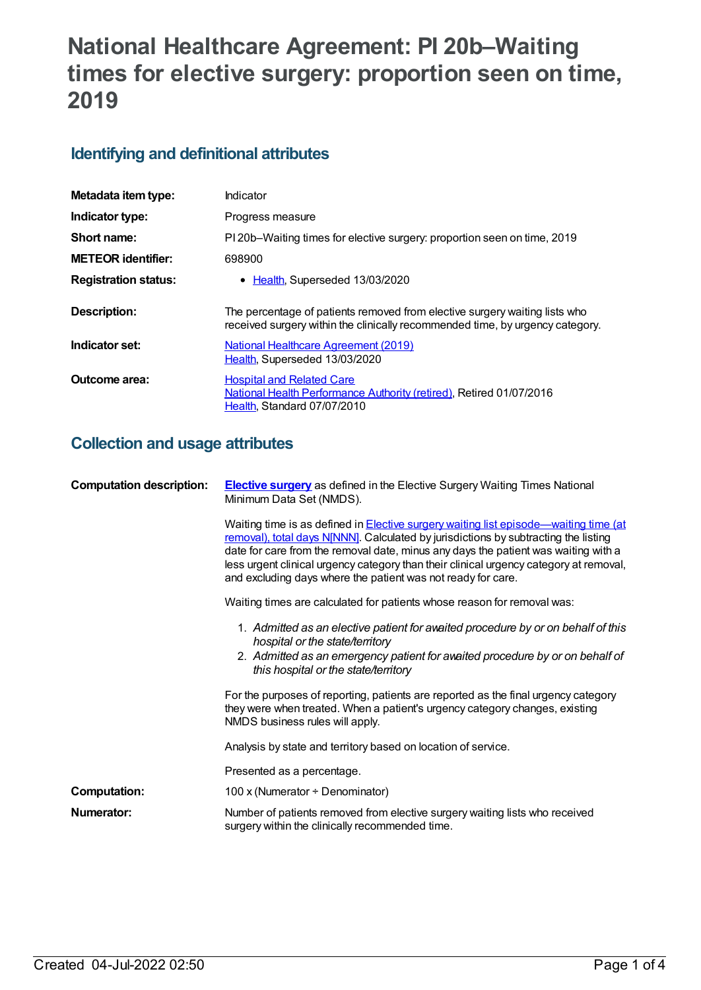# **National Healthcare Agreement: PI 20b–Waiting times for elective surgery: proportion seen on time, 2019**

# **Identifying and definitional attributes**

| Metadata item type:         | Indicator                                                                                                                                                   |
|-----------------------------|-------------------------------------------------------------------------------------------------------------------------------------------------------------|
| Indicator type:             | Progress measure                                                                                                                                            |
| Short name:                 | PI 20b–Waiting times for elective surgery: proportion seen on time, 2019                                                                                    |
| <b>METEOR identifier:</b>   | 698900                                                                                                                                                      |
| <b>Registration status:</b> | • Health, Superseded 13/03/2020                                                                                                                             |
| Description:                | The percentage of patients removed from elective surgery waiting lists who<br>received surgery within the clinically recommended time, by urgency category. |
| Indicator set:              | National Healthcare Agreement (2019)<br>Health, Superseded 13/03/2020                                                                                       |
| Outcome area:               | <b>Hospital and Related Care</b><br><b>National Health Performance Authority (retired), Retired 01/07/2016</b><br>Health, Standard 07/07/2010               |

# **Collection and usage attributes**

| <b>Computation description:</b> | <b>Elective surgery</b> as defined in the Elective Surgery Waiting Times National<br>Minimum Data Set (NMDS).                                                                                                                                                                                                                                                                                                               |
|---------------------------------|-----------------------------------------------------------------------------------------------------------------------------------------------------------------------------------------------------------------------------------------------------------------------------------------------------------------------------------------------------------------------------------------------------------------------------|
|                                 | Waiting time is as defined in Elective surgery waiting list episode—waiting time (at<br>removal), total days N[NNN]. Calculated by jurisdictions by subtracting the listing<br>date for care from the removal date, minus any days the patient was waiting with a<br>less urgent clinical urgency category than their clinical urgency category at removal,<br>and excluding days where the patient was not ready for care. |
|                                 | Waiting times are calculated for patients whose reason for removal was:                                                                                                                                                                                                                                                                                                                                                     |
|                                 | 1. Admitted as an elective patient for avaited procedure by or on behalf of this<br>hospital or the state/territory<br>2. Admitted as an emergency patient for avaited procedure by or on behalf of<br>this hospital or the state/territory                                                                                                                                                                                 |
|                                 | For the purposes of reporting, patients are reported as the final urgency category<br>they were when treated. When a patient's urgency category changes, existing<br>NMDS business rules will apply.                                                                                                                                                                                                                        |
|                                 | Analysis by state and territory based on location of service.                                                                                                                                                                                                                                                                                                                                                               |
|                                 | Presented as a percentage.                                                                                                                                                                                                                                                                                                                                                                                                  |
| <b>Computation:</b>             | 100 x (Numerator $\div$ Denominator)                                                                                                                                                                                                                                                                                                                                                                                        |
| Numerator:                      | Number of patients removed from elective surgery waiting lists who received<br>surgery within the clinically recommended time.                                                                                                                                                                                                                                                                                              |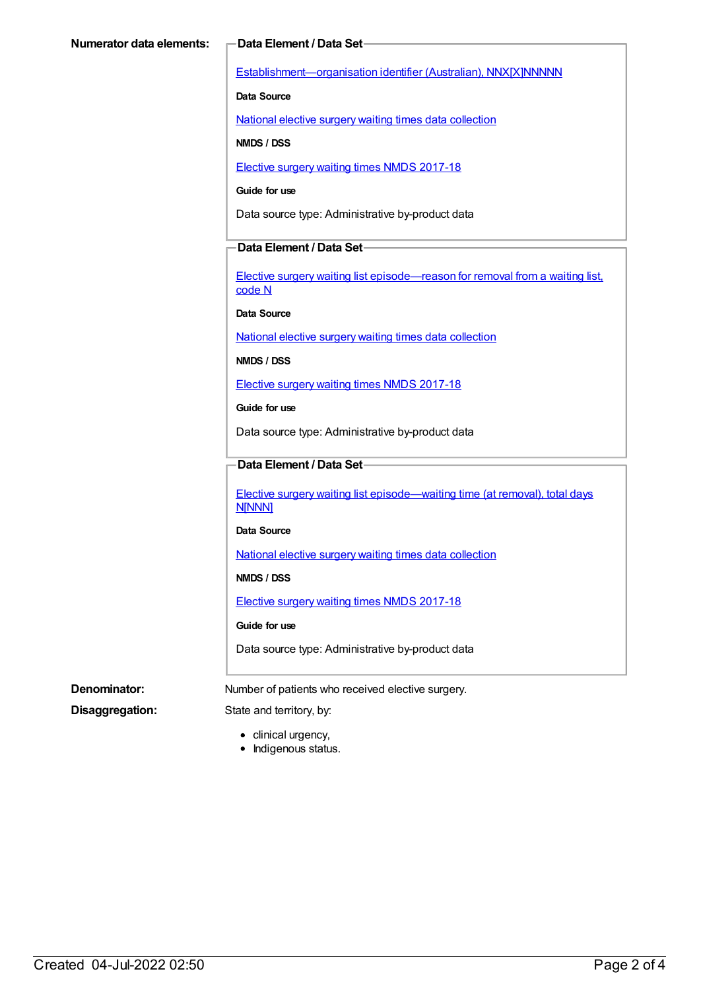[Establishment—organisation](https://meteor.aihw.gov.au/content/269973) identifier (Australian), NNX[X]NNNNN

**Data Source**

National elective surgery waiting times data [collection](https://meteor.aihw.gov.au/content/635534)

**NMDS / DSS**

Elective surgery waiting times NMDS [2017-18](https://meteor.aihw.gov.au/content/651416)

**Guide for use**

Data source type: Administrative by-product data

#### **Data Element / Data Set**

Elective surgery waiting list [episode—reason](https://meteor.aihw.gov.au/content/471735) for removal from a waiting list, code N

**Data Source**

National elective surgery waiting times data [collection](https://meteor.aihw.gov.au/content/635534)

**NMDS / DSS**

Elective surgery waiting times NMDS [2017-18](https://meteor.aihw.gov.au/content/651416)

**Guide for use**

Data source type: Administrative by-product data

### **Data Element / Data Set**

Elective surgery waiting list [episode—waiting](https://meteor.aihw.gov.au/content/598074) time (at removal), total days N[NNN]

#### **Data Source**

National elective surgery waiting times data [collection](https://meteor.aihw.gov.au/content/635534)

**NMDS / DSS**

Elective surgery waiting times NMDS [2017-18](https://meteor.aihw.gov.au/content/651416)

#### **Guide for use**

Data source type: Administrative by-product data

**Denominator:** Number of patients who received elective surgery.

**Disaggregation:** State and territory, by:

- clinical urgency,
- Indigenous status.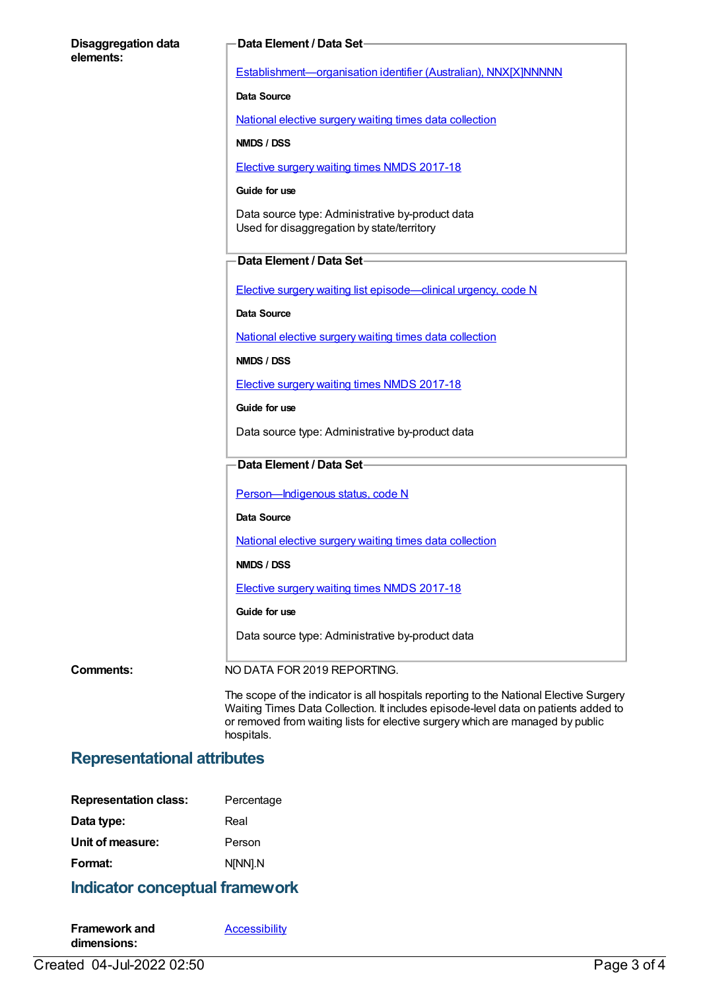#### **Disaggregation data elements:**

#### **Data Element / Data Set**

[Establishment—organisation](https://meteor.aihw.gov.au/content/269973) identifier (Australian), NNX[X]NNNNN

#### **Data Source**

National elective surgery waiting times data [collection](https://meteor.aihw.gov.au/content/635534)

**NMDS / DSS**

Elective surgery waiting times NMDS [2017-18](https://meteor.aihw.gov.au/content/651416)

#### **Guide for use**

Data source type: Administrative by-product data Used for disaggregation by state/territory

#### **Data Element / Data Set**

Elective surgery waiting list [episode—clinical](https://meteor.aihw.gov.au/content/598034) urgency, code N

**Data Source**

National elective surgery waiting times data [collection](https://meteor.aihw.gov.au/content/635534)

**NMDS / DSS**

Elective surgery waiting times NMDS [2017-18](https://meteor.aihw.gov.au/content/651416)

**Guide for use**

Data source type: Administrative by-product data

### **Data Element / Data Set**

Person-Indigenous status, code N

**Data Source**

National elective surgery waiting times data [collection](https://meteor.aihw.gov.au/content/635534)

**NMDS / DSS**

Elective surgery waiting times NMDS [2017-18](https://meteor.aihw.gov.au/content/651416)

#### **Guide for use**

Data source type: Administrative by-product data

**Comments:** NO DATA FOR 2019 REPORTING.

The scope of the indicator is all hospitals reporting to the National Elective Surgery Waiting Times Data Collection. It includes episode-level data on patients added to or removed from waiting lists for elective surgery which are managed by public hospitals.

### **Representational attributes**

| Percentage |
|------------|
| Real       |
| Person     |
| N[NN].N    |
|            |

### **Indicator conceptual framework**

| <b>Framework and</b> | <b>Accessibility</b> |
|----------------------|----------------------|
| dimensions:          |                      |